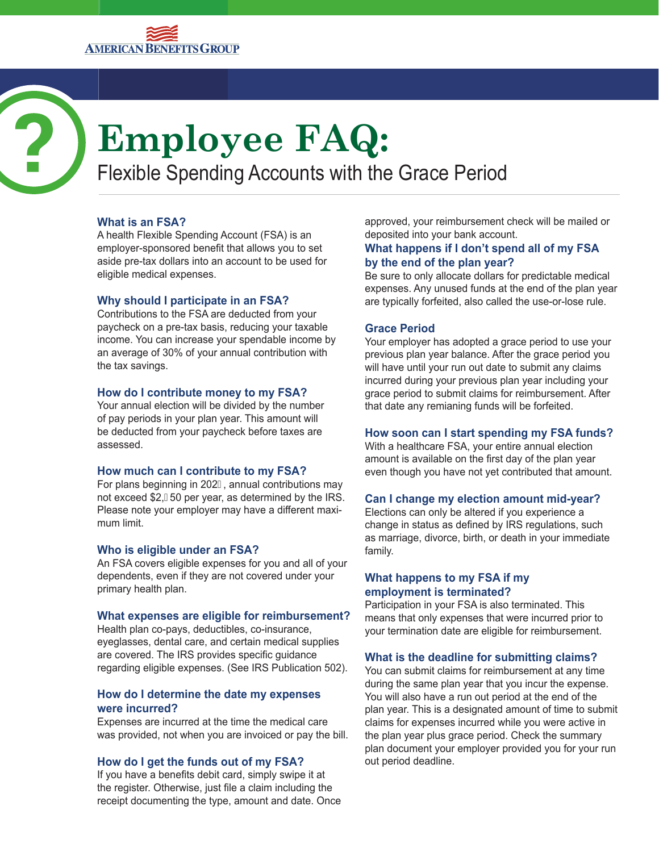

# **Employee FAQ:**

Flexible Spending Accounts with the Grace Period

# **What is an FSA?**

A health Flexible Spending Account (FSA) is an employer-sponsored benefit that allows you to set aside pre-tax dollars into an account to be used for eligible medical expenses.

# **Why should I participate in an FSA?**

Contributions to the FSA are deducted from your paycheck on a pre-tax basis, reducing your taxable income. You can increase your spendable income by an average of 30% of your annual contribution with the tax savings.

#### **How do I contribute money to my FSA?**

Your annual election will be divided by the number of pay periods in your plan year. This amount will be deducted from your paycheck before taxes are assessed.

# **How much can I contribute to my FSA?**

For plans beginning in 202G annual contributions may not exceed  $$2$ ,  $\overline{50}$  per year, as determined by the IRS. Please note your employer may have a different maximum limit.

# **Who is eligible under an FSA?**

An FSA covers eligible expenses for you and all of your dependents, even if they are not covered under your primary health plan.

# **What expenses are eligible for reimbursement?**

Health plan co-pays, deductibles, co-insurance, eyeglasses, dental care, and certain medical supplies are covered. The IRS provides specific guidance regarding eligible expenses. (See IRS Publication 502).

#### **How do I determine the date my expenses were incurred?**

Expenses are incurred at the time the medical care was provided, not when you are invoiced or pay the bill.

# **How do I get the funds out of my FSA?**

If you have a benefits debit card, simply swipe it at the register. Otherwise, just file a claim including the receipt documenting the type, amount and date. Once approved, your reimbursement check will be mailed or deposited into your bank account.

# **What happens if I don't spend all of my FSA by the end of the plan year?**

Be sure to only allocate dollars for predictable medical expenses. Any unused funds at the end of the plan year are typically forfeited, also called the use-or-lose rule.

# **Grace Period**

Your employer has adopted a grace period to use your previous plan year balance. After the grace period you will have until your run out date to submit any claims incurred during your previous plan year including your grace period to submit claims for reimbursement. After that date any remianing funds will be forfeited.

# **How soon can I start spending my FSA funds?**

With a healthcare FSA, your entire annual election amount is available on the first day of the plan year even though you have not yet contributed that amount.

# **Can I change my election amount mid-year?**

Elections can only be altered if you experience a change in status as defined by IRS regulations, such as marriage, divorce, birth, or death in your immediate family.

# **What happens to my FSA if my employment is terminated?**

Participation in your FSA is also terminated. This means that only expenses that were incurred prior to your termination date are eligible for reimbursement.

#### **What is the deadline for submitting claims?**

You can submit claims for reimbursement at any time during the same plan year that you incur the expense. You will also have a run out period at the end of the plan year. This is a designated amount of time to submit claims for expenses incurred while you were active in the plan year plus grace period. Check the summary plan document your employer provided you for your run out period deadline.